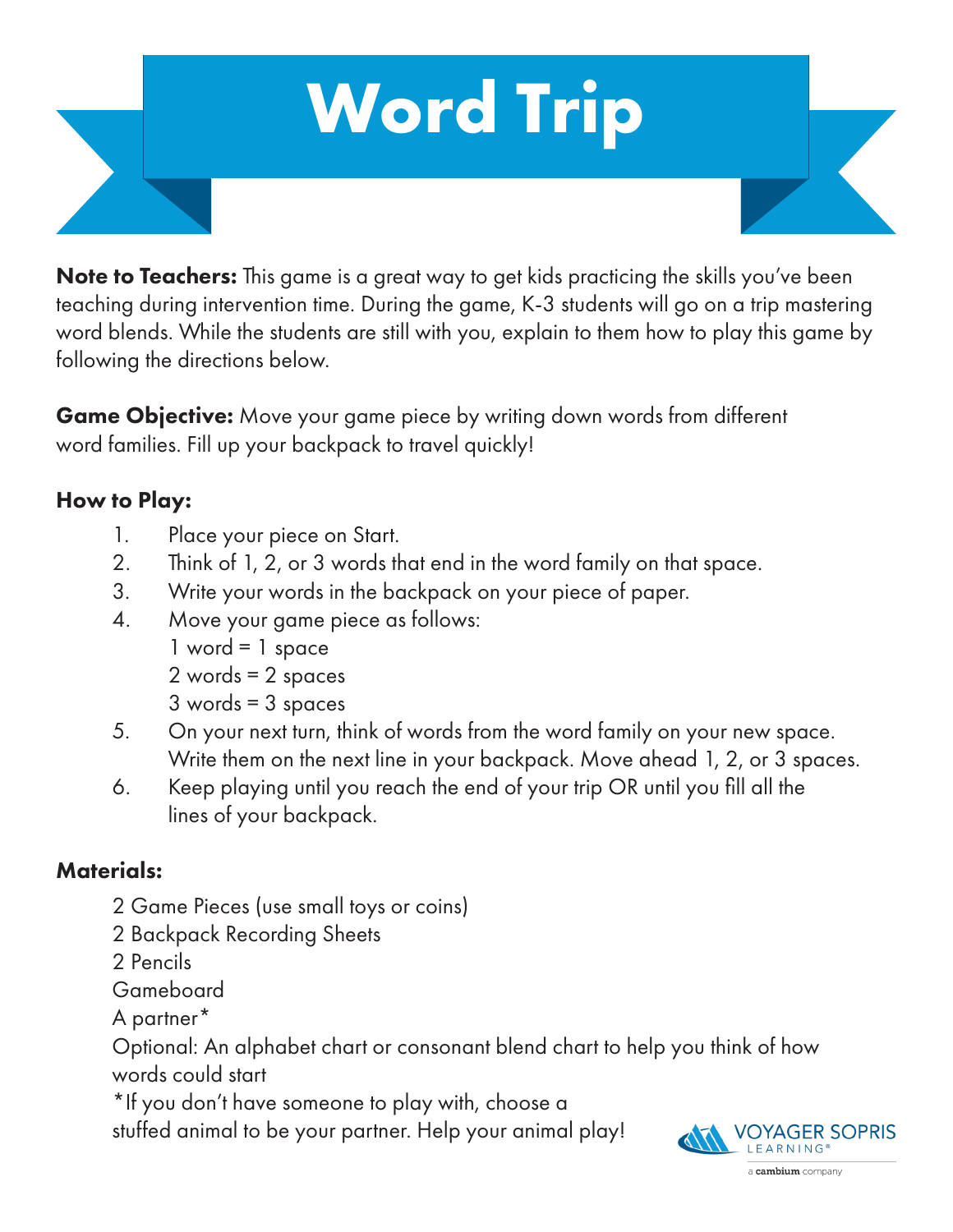

Note to Teachers: This game is a great way to get kids practicing the skills you've been teaching during intervention time. During the game, K-3 students will go on a trip mastering word blends. While the students are still with you, explain to them how to play this game by following the directions below.

**Game Objective:** Move your game piece by writing down words from different word families. Fill up your backpack to travel quickly!

## How to Play:

- 1. Place your piece on Start.
- 2. Think of 1, 2, or 3 words that end in the word family on that space.
- 3. Write your words in the backpack on your piece of paper.
- 4. Move your game piece as follows:
	- $1$  word =  $1$  space
	- 2 words = 2 spaces
	- 3 words = 3 spaces
- 5. On your next turn, think of words from the word family on your new space. Write them on the next line in your backpack. Move ahead 1, 2, or 3 spaces.
- 6. Keep playing until you reach the end of your trip OR until you fill all the lines of your backpack.

## Materials:

- 2 Game Pieces (use small toys or coins)
- 2 Backpack Recording Sheets
- 2 Pencils

Gameboard

A partner\*

Optional: An alphabet chart or consonant blend chart to help you think of how words could start

\*If you don't have someone to play with, choose a

stuffed animal to be your partner. Help your animal play!

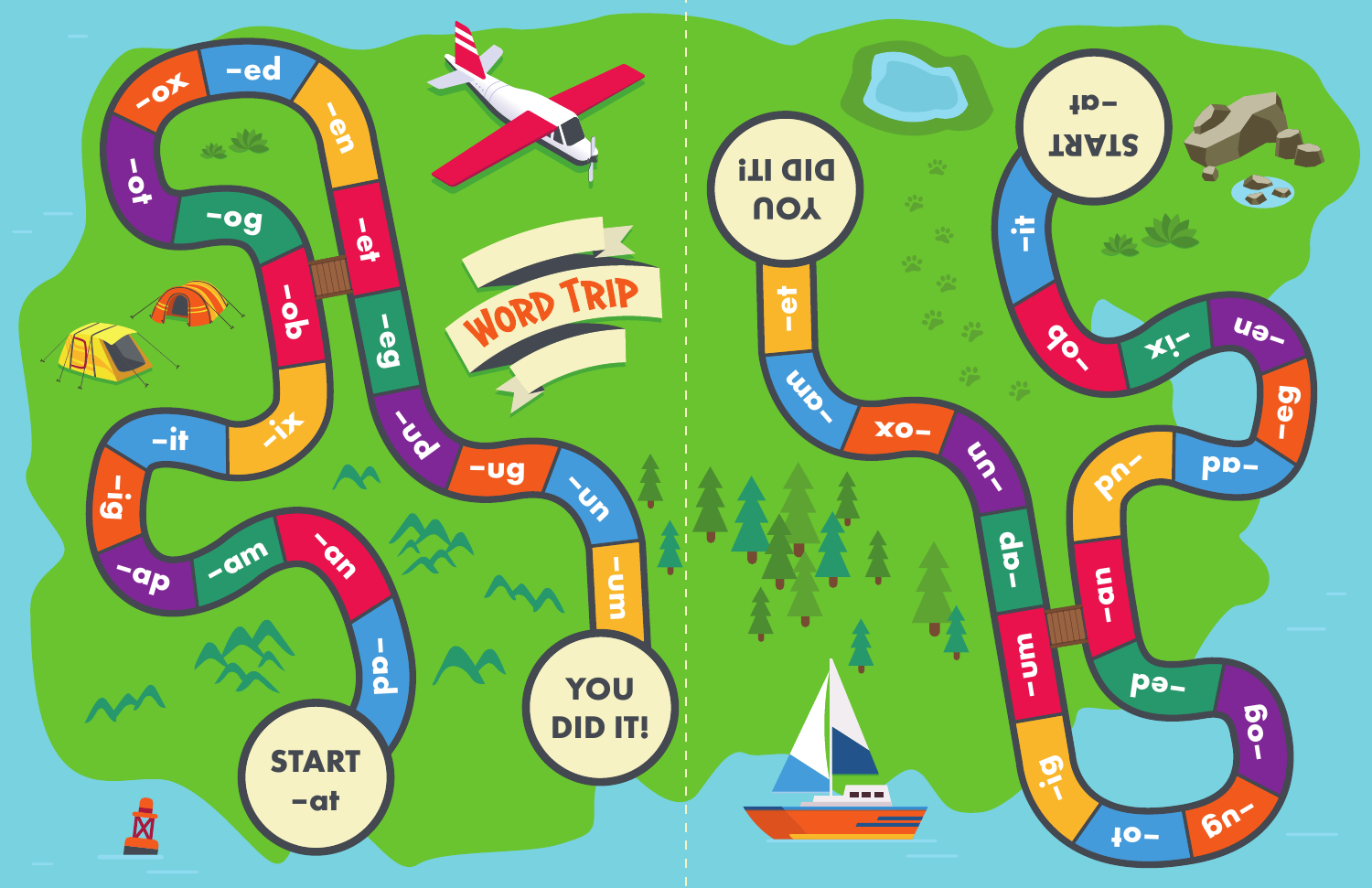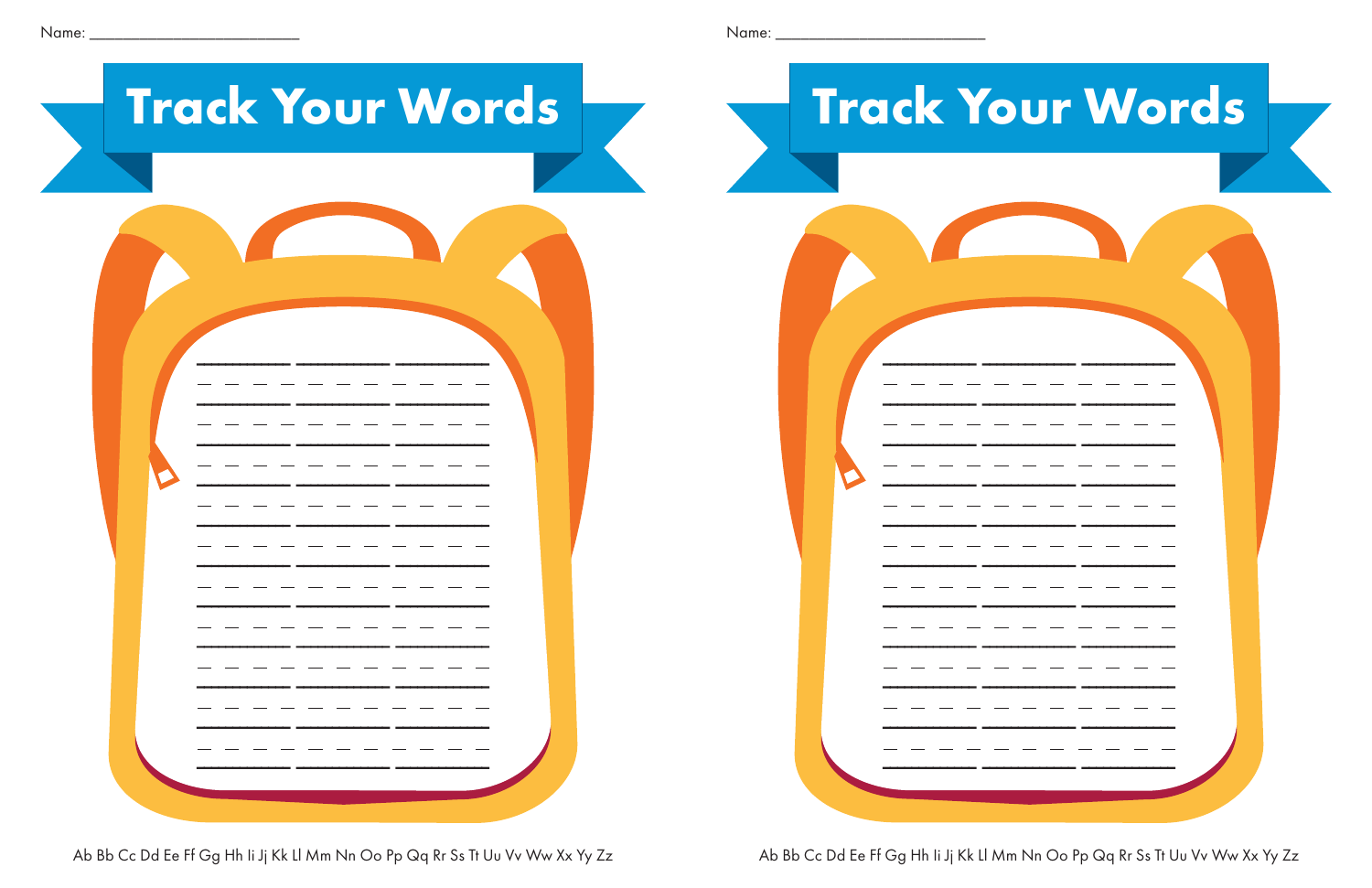| Track Your Words | <b>Track Yo</b> |
|------------------|-----------------|
|                  |                 |
|                  |                 |
|                  |                 |
|                  |                 |
|                  |                 |

Ab Bb Cc Dd Ee Ff Gg Hh Ii Jj Kk Ll Mm Nn Oo Pp Qq Rr Ss Tt Uu Vv Ww Xx Yy Zz

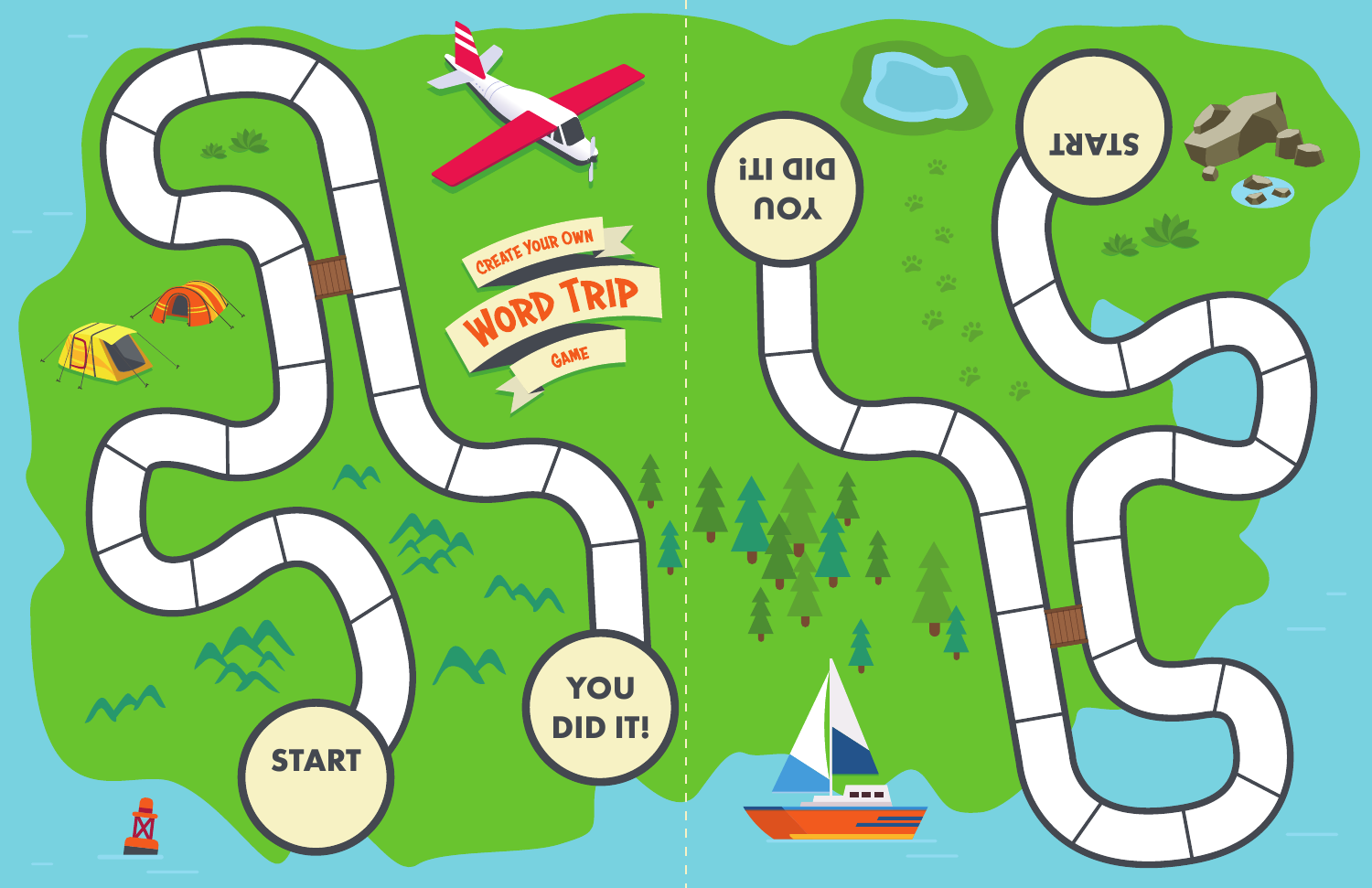